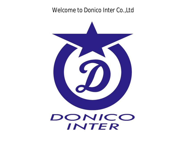*Welcome to Donico Inter Co.,Ltd*

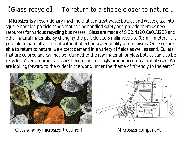## 【Glass recycle】 To return to a shape closer to nature ..

Microsizer is a revolutionary machine that can treat waste bottles and waste glass into square-handled particle sands that can be handled safety and provide them as new resources for various recycling businesses. Glass are made of SiO2,Na2O,CaO,Al2O3 and other natural materials. By changing the particle size 5 millimeters to 0.5 millimeters, it is possible to naturally return it without affecting water quality or organisms. Once we are able to return to nature, we expect demand in a variety of fields as well as sand. Cullets that are colored and can not be returned to the raw material for glass bottles can also be recycled. As environmental issues become increasingly pronounced on a global scale. We are looking forward to the wider in the world under the theme of "friendly to the earth".





Glass sand by microsizer treatment

Microsizer component